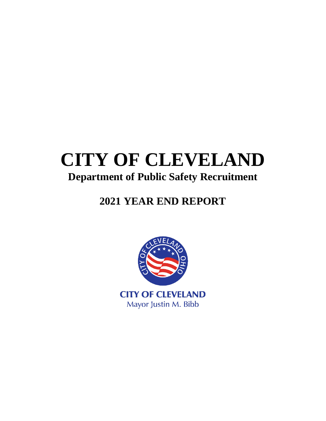# **CITY OF CLEVELAND Department of Public Safety Recruitment**

## **2021 YEAR END REPORT**

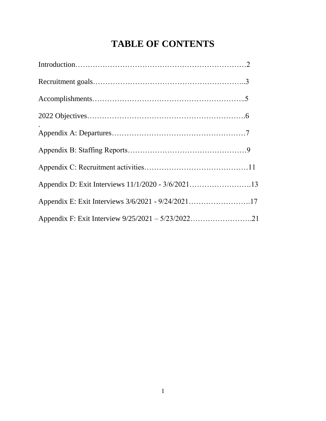## **TABLE OF CONTENTS**

| Appendix D: Exit Interviews 11/1/2020 - 3/6/202113 |  |
|----------------------------------------------------|--|
| Appendix E: Exit Interviews 3/6/2021 - 9/24/202117 |  |
| Appendix F: Exit Interview 9/25/2021 - 5/23/202221 |  |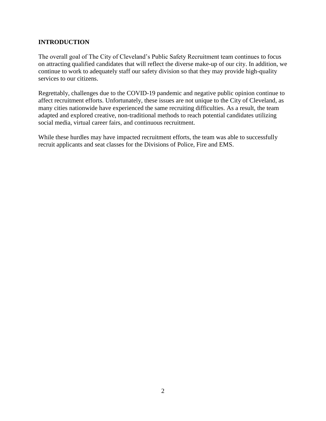## **INTRODUCTION**

The overall goal of The City of Cleveland's Public Safety Recruitment team continues to focus on attracting qualified candidates that will reflect the diverse make-up of our city. In addition, we continue to work to adequately staff our safety division so that they may provide high-quality services to our citizens.

Regrettably, challenges due to the COVID-19 pandemic and negative public opinion continue to affect recruitment efforts. Unfortunately, these issues are not unique to the City of Cleveland, as many cities nationwide have experienced the same recruiting difficulties. As a result, the team adapted and explored creative, non-traditional methods to reach potential candidates utilizing social media, virtual career fairs, and continuous recruitment.

While these hurdles may have impacted recruitment efforts, the team was able to successfully recruit applicants and seat classes for the Divisions of Police, Fire and EMS.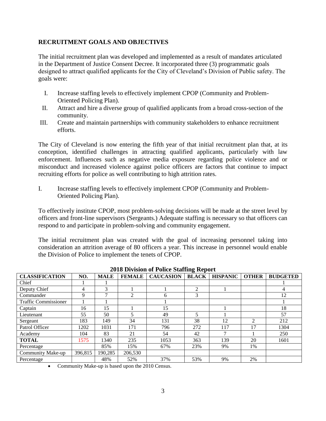## **RECRUITMENT GOALS AND OBJECTIVES**

The initial recruitment plan was developed and implemented as a result of mandates articulated in the Department of Justice Consent Decree. It incorporated three (3) programmatic goals designed to attract qualified applicants for the City of Cleveland's Division of Public safety. The goals were:

- I. Increase staffing levels to effectively implement CPOP (Community and Problem-Oriented Policing Plan).
- II. Attract and hire a diverse group of qualified applicants from a broad cross-section of the community.
- III. Create and maintain partnerships with community stakeholders to enhance recruitment efforts.

The City of Cleveland is now entering the fifth year of that initial recruitment plan that, at its conception, identified challenges in attracting qualified applicants, particularly with law enforcement. Influences such as negative media exposure regarding police violence and or misconduct and increased violence against police officers are factors that continue to impact recruiting efforts for police as well contributing to high attrition rates.

I. Increase staffing levels to effectively implement CPOP (Community and Problem-Oriented Policing Plan).

To effectively institute CPOP, most problem-solving decisions will be made at the street level by officers and front-line supervisors (Sergeants.) Adequate staffing is necessary so that officers can respond to and participate in problem-solving and community engagement.

The initial recruitment plan was created with the goal of increasing personnel taking into consideration an attrition average of 80 officers a year. This increase in personnel would enable the Division of Police to implement the tenets of CPOP.

| <b>CLASSIFICATION</b>       | NO.     | <b>MALE</b> | <b>FEMALE</b>  | <b>CAUCASION</b> | ັ<br><b>BLACK</b> | <b>HISPANIC</b> | <b>OTHER</b>   | <b>BUDGETED</b> |
|-----------------------------|---------|-------------|----------------|------------------|-------------------|-----------------|----------------|-----------------|
| Chief                       |         |             |                |                  |                   |                 |                |                 |
| Deputy Chief                | 4       | 3           |                |                  | $\overline{2}$    |                 |                | 4               |
| Commander                   | 9       | ┑           | $\overline{2}$ | h.               | 3                 |                 |                | 12              |
| <b>Traffic Commissioner</b> |         |             |                |                  |                   |                 |                |                 |
| Captain                     | 16      | 15          |                | 15               |                   |                 |                | 18              |
| Lieutenant                  | 55      | 50          | 5              | 49               |                   |                 |                | 57              |
| Sergeant                    | 183     | 149         | 34             | 131              | 38                | 12              | $\mathfrak{D}$ | 212             |
| Patrol Officer              | 1202    | 1031        | 171            | 796              | 272               | 117             | 17             | 1304            |
| Academy                     | 104     | 83          | 21             | 54               | 42                | $\mathbf{r}$    |                | 250             |
| <b>TOTAL</b>                | 1575    | 1340        | 235            | 1053             | 363               | 139             | 20             | 1601            |
| Percentage                  |         | 85%         | 15%            | 67%              | 23%               | 9%              | 1%             |                 |
| <b>Community Make-up</b>    | 396,815 | 190,285     | 206,530        |                  |                   |                 |                |                 |
| Percentage                  |         | 48%         | 52%            | 37%              | 53%               | 9%              | 2%             |                 |

**2018 Division of Police Staffing Report**

Community Make-up is based upon the 2010 Census.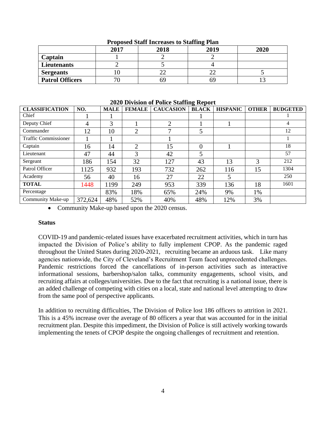|                        | 2017 | 2018 | __<br>2019 | 2020 |
|------------------------|------|------|------------|------|
| Captain                |      |      |            |      |
| Lieutenants            |      |      |            |      |
| <b>Sergeants</b>       |      |      |            |      |
| <b>Patrol Officers</b> | 71   | ካዓ   | 69         |      |

#### **Proposed Staff Increases to Staffing Plan**

| <b>CLASSIFICATION</b>       | NO.     | <b>MALE</b> | <b>FEMALE</b>  | <b>CAUCASION</b> | <b>BLACK</b> | <b>HISPANIC</b> | <b>OTHER</b> | <b>BUDGETED</b> |
|-----------------------------|---------|-------------|----------------|------------------|--------------|-----------------|--------------|-----------------|
| Chief                       |         |             |                |                  |              |                 |              |                 |
| Deputy Chief                | 4       | 3           |                | ↑                |              |                 |              | 4               |
| Commander                   | 12      | 10          | $\overline{2}$ | 7                | 5            |                 |              | 12              |
| <b>Traffic Commissioner</b> |         |             |                |                  |              |                 |              |                 |
| Captain                     | 16      | 14          | $\overline{2}$ | 15               | 0            |                 |              | 18              |
| Lieutenant                  | 47      | 44          | 3              | 42               | 5            |                 |              | 57              |
| Sergeant                    | 186     | 154         | 32             | 127              | 43           | 13              | 3            | 212             |
| Patrol Officer              | 1125    | 932         | 193            | 732              | 262          | 116             | 15           | 1304            |
| Academy                     | 56      | 40          | 16             | 27               | 22           | 5               |              | 250             |
| <b>TOTAL</b>                | 1448    | 1199        | 249            | 953              | 339          | 136             | 18           | 1601            |
| Percentage                  |         | 83%         | 18%            | 65%              | 24%          | 9%              | 1%           |                 |
| Community Make-up           | 372,624 | 48%         | 52%            | 40%              | 48%          | 12%             | 3%           |                 |

#### **2020 Division of Police Staffing Report**

• Community Make-up based upon the 2020 census.

#### **Status**

COVID-19 and pandemic-related issues have exacerbated recruitment activities, which in turn has impacted the Division of Police's ability to fully implement CPOP. As the pandemic raged throughout the United States during 2020-2021, recruiting became an arduous task. Like many agencies nationwide, the City of Cleveland's Recruitment Team faced unprecedented challenges. Pandemic restrictions forced the cancellations of in-person activities such as interactive informational sessions, barbershop/salon talks, community engagements, school visits, and recruiting affairs at colleges/universities. Due to the fact that recruiting is a national issue, there is an added challenge of competing with cities on a local, state and national level attempting to draw from the same pool of perspective applicants.

In addition to recruiting difficulties, The Division of Police lost 186 officers to attrition in 2021. This is a 45% increase over the average of 80 officers a year that was accounted for in the initial recruitment plan. Despite this impediment, the Division of Police is still actively working towards implementing the tenets of CPOP despite the ongoing challenges of recruitment and retention.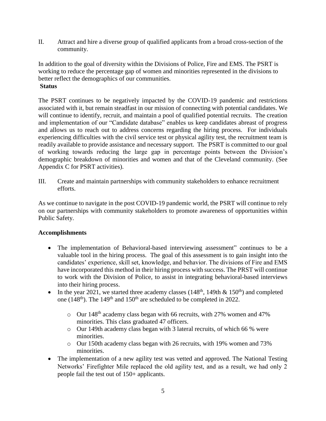II. Attract and hire a diverse group of qualified applicants from a broad cross-section of the community.

In addition to the goal of diversity within the Divisions of Police, Fire and EMS. The PSRT is working to reduce the percentage gap of women and minorities represented in the divisions to better reflect the demographics of our communities. **Status**

The PSRT continues to be negatively impacted by the COVID-19 pandemic and restrictions associated with it, but remain steadfast in our mission of connecting with potential candidates. We will continue to identify, recruit, and maintain a pool of qualified potential recruits. The creation and implementation of our "Candidate database" enables us keep candidates abreast of progress and allows us to reach out to address concerns regarding the hiring process. For individuals experiencing difficulties with the civil service test or physical agility test, the recruitment team is readily available to provide assistance and necessary support. The PSRT is committed to our goal of working towards reducing the large gap in percentage points between the Division's demographic breakdown of minorities and women and that of the Cleveland community. (See Appendix C for PSRT activities).

III. Create and maintain partnerships with community stakeholders to enhance recruitment efforts.

As we continue to navigate in the post COVID-19 pandemic world, the PSRT will continue to rely on our partnerships with community stakeholders to promote awareness of opportunities within Public Safety.

## **Accomplishments**

- The implementation of Behavioral-based interviewing assessment" continues to be a valuable tool in the hiring process. The goal of this assessment is to gain insight into the candidates' experience, skill set, knowledge, and behavior. The divisions of Fire and EMS have incorporated this method in their hiring process with success. The PRST will continue to work with the Division of Police, to assist in integrating behavioral-based interviews into their hiring process.
- In the year 2021, we started three academy classes (148<sup>th</sup>, 149th & 150<sup>th</sup>) and completed one (148<sup>th</sup>). The 149<sup>th</sup> and 150<sup>th</sup> are scheduled to be completed in 2022.
	- $\circ$  Our 148<sup>th</sup> academy class began with 66 recruits, with 27% women and 47% minorities. This class graduated 47 officers.
	- o Our 149th academy class began with 3 lateral recruits, of which 66 % were minorities.
	- $\circ$  Our 150th academy class began with 26 recruits, with 19% women and 73% minorities.
- The implementation of a new agility test was vetted and approved. The National Testing Networks' Firefighter Mile replaced the old agility test, and as a result, we had only 2 people fail the test out of 150+ applicants.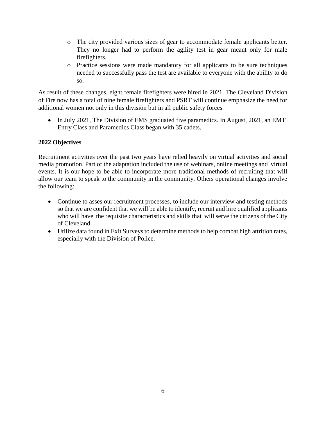- o The city provided various sizes of gear to accommodate female applicants better. They no longer had to perform the agility test in gear meant only for male firefighters.
- o Practice sessions were made mandatory for all applicants to be sure techniques needed to successfully pass the test are available to everyone with the ability to do so.

As result of these changes, eight female firefighters were hired in 2021. The Cleveland Division of Fire now has a total of nine female firefighters and PSRT will continue emphasize the need for additional women not only in this division but in all public safety forces

• In July 2021, The Division of EMS graduated five paramedics. In August, 2021, an EMT Entry Class and Paramedics Class began with 35 cadets.

## **2022 Objectives**

Recruitment activities over the past two years have relied heavily on virtual activities and social media promotion. Part of the adaptation included the use of webinars, online meetings and virtual events. It is our hope to be able to incorporate more traditional methods of recruiting that will allow our team to speak to the community in the community. Others operational changes involve the following:

- Continue to asses our recruitment processes, to include our interview and testing methods so that we are confident that we will be able to identify, recruit and hire qualified applicants who will have the requisite characteristics and skills that will serve the citizens of the City of Cleveland.
- Utilize data found in Exit Surveys to determine methods to help combat high attrition rates, especially with the Division of Police.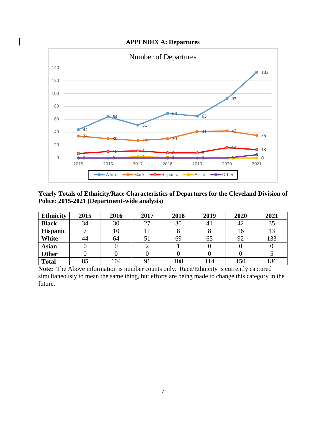### **APPENDIX A: Departures**



**Yearly Totals of Ethnicity/Race Characteristics of Departures for the Cleveland Division of Police: 2015-2021 (Department-wide analysis)**

| <b>Ethnicity</b> | 2015 | 2016 | 2017 | 2018 | 2019 | 2020 | 2021 |
|------------------|------|------|------|------|------|------|------|
| <b>Black</b>     | 34   | 30   | 27   | 30   | 4 I  | 42   | 35   |
| <b>Hispanic</b>  |      |      |      |      |      | 16   | 13   |
| White            | 44   | 64   | 51   | 69   | 65   | 92   | 133  |
| <b>Asian</b>     |      |      |      |      |      |      |      |
| <b>Other</b>     |      |      |      |      |      |      |      |
| <b>Total</b>     | 85   | 104  |      | 108  | .14  | 150  | 186  |

**Note:** The Above information is number counts only. Race/Ethnicity is currently captured simultaneously to mean the same thing, but efforts are being made to change this category in the future.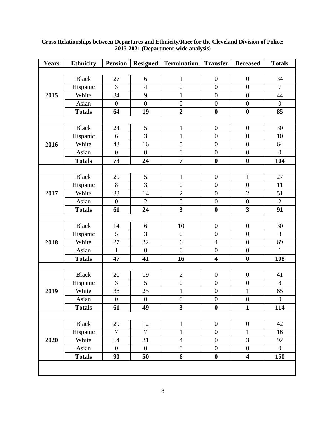| <b>Years</b>                                 | <b>Ethnicity</b> | <b>Pension</b>   | <b>Resigned</b>  | <b>Termination</b>      | <b>Transfer</b>         | <b>Deceased</b>         | <b>Totals</b>    |  |  |  |  |
|----------------------------------------------|------------------|------------------|------------------|-------------------------|-------------------------|-------------------------|------------------|--|--|--|--|
|                                              |                  |                  |                  |                         |                         |                         |                  |  |  |  |  |
|                                              | <b>Black</b>     | 27               | 6                | $\mathbf{1}$            | $\boldsymbol{0}$        | $\boldsymbol{0}$        | 34               |  |  |  |  |
|                                              | Hispanic         | 3                | $\overline{4}$   | $\boldsymbol{0}$        | $\boldsymbol{0}$        | $\boldsymbol{0}$        | $\tau$           |  |  |  |  |
| 2015<br>2016<br>2017<br>2018<br>2019<br>2020 | White            | 34               | 9                | $\mathbf{1}$            | $\boldsymbol{0}$        | $\overline{0}$          | 44               |  |  |  |  |
|                                              | Asian            | $\boldsymbol{0}$ | $\overline{0}$   | $\boldsymbol{0}$        | $\boldsymbol{0}$        | $\boldsymbol{0}$        | $\boldsymbol{0}$ |  |  |  |  |
|                                              | <b>Totals</b>    | 64               | 19               | $\overline{2}$          | $\boldsymbol{0}$        | $\bf{0}$                | 85               |  |  |  |  |
|                                              |                  |                  |                  |                         |                         |                         |                  |  |  |  |  |
|                                              | <b>Black</b>     | 24               | 5                | $\mathbf{1}$            | $\boldsymbol{0}$        | $\boldsymbol{0}$        | 30               |  |  |  |  |
|                                              | Hispanic         | 6                | $\overline{3}$   | $\mathbf{1}$            | $\boldsymbol{0}$        | $\boldsymbol{0}$        | 10               |  |  |  |  |
|                                              | White            | 43               | 16               | 5                       | $\boldsymbol{0}$        | $\boldsymbol{0}$        | 64               |  |  |  |  |
|                                              | Asian            | $\boldsymbol{0}$ | $\boldsymbol{0}$ | $\boldsymbol{0}$        | $\boldsymbol{0}$        | $\boldsymbol{0}$        | $\boldsymbol{0}$ |  |  |  |  |
|                                              | <b>Totals</b>    | 73               | 24               | $\overline{7}$          | $\boldsymbol{0}$        | $\boldsymbol{0}$        | 104              |  |  |  |  |
|                                              |                  |                  |                  |                         |                         |                         |                  |  |  |  |  |
|                                              | <b>Black</b>     | 20               | $\mathfrak s$    | $\mathbf{1}$            | $\boldsymbol{0}$        | $\mathbf{1}$            | 27               |  |  |  |  |
|                                              | Hispanic         | 8                | $\overline{3}$   | $\overline{0}$          | $\boldsymbol{0}$        | $\overline{0}$          | 11               |  |  |  |  |
|                                              | White            | 33               | 14               | $\overline{2}$          | $\boldsymbol{0}$        | $\overline{2}$          | 51               |  |  |  |  |
|                                              | Asian            | $\boldsymbol{0}$ | $\overline{2}$   | $\boldsymbol{0}$        | $\boldsymbol{0}$        | $\boldsymbol{0}$        | $\overline{2}$   |  |  |  |  |
|                                              | <b>Totals</b>    | 61               | 24               | $\overline{\mathbf{3}}$ | $\boldsymbol{0}$        | $\overline{\mathbf{3}}$ | 91               |  |  |  |  |
|                                              |                  |                  |                  |                         |                         |                         |                  |  |  |  |  |
|                                              | <b>Black</b>     | 14               | 6                | 10                      | $\boldsymbol{0}$        | $\boldsymbol{0}$        | 30               |  |  |  |  |
|                                              | Hispanic         | 5                | $\overline{3}$   | $\boldsymbol{0}$        | $\boldsymbol{0}$        | $\boldsymbol{0}$        | 8                |  |  |  |  |
|                                              | White            | 27               | 32               | 6                       | $\overline{4}$          | $\boldsymbol{0}$        | 69               |  |  |  |  |
|                                              | Asian            | $\mathbf{1}$     | $\overline{0}$   | $\overline{0}$          | $\boldsymbol{0}$        | $\boldsymbol{0}$        | $\mathbf{1}$     |  |  |  |  |
|                                              | <b>Totals</b>    | 47               | 41               | 16                      | $\overline{\mathbf{4}}$ | $\boldsymbol{0}$        | 108              |  |  |  |  |
|                                              |                  |                  |                  |                         |                         |                         |                  |  |  |  |  |
|                                              | <b>Black</b>     | 20               | 19               | $\mathbf{2}$            | $\boldsymbol{0}$        | $\boldsymbol{0}$        | 41               |  |  |  |  |
|                                              | Hispanic         | 3                | 5                | $\boldsymbol{0}$        | $\boldsymbol{0}$        | $\boldsymbol{0}$        | 8                |  |  |  |  |
|                                              | White            | 38               | 25               | $\mathbf{1}$            | $\boldsymbol{0}$        | $\mathbf{1}$            | 65               |  |  |  |  |
|                                              | Asian            | $\boldsymbol{0}$ | $\boldsymbol{0}$ | $\boldsymbol{0}$        | $\boldsymbol{0}$        | $\boldsymbol{0}$        | $\boldsymbol{0}$ |  |  |  |  |
|                                              | <b>Totals</b>    | 61               | 49               | $\overline{\mathbf{3}}$ | $\boldsymbol{0}$        | $\mathbf{1}$            | 114              |  |  |  |  |
|                                              |                  |                  |                  |                         |                         |                         |                  |  |  |  |  |
|                                              | <b>Black</b>     | 29               | 12               | $\mathbf{1}$            | $\boldsymbol{0}$        | $\boldsymbol{0}$        | 42               |  |  |  |  |
|                                              | Hispanic         | $\tau$           | $\overline{7}$   | $\mathbf{1}$            | $\boldsymbol{0}$        | $\mathbf{1}$            | 16               |  |  |  |  |
|                                              | White            | 54               | 31               | $\overline{4}$          | $\boldsymbol{0}$        | $\overline{3}$          | 92               |  |  |  |  |
|                                              | Asian            | $\overline{0}$   | $\overline{0}$   | $\boldsymbol{0}$        | $\boldsymbol{0}$        | $\boldsymbol{0}$        | $\overline{0}$   |  |  |  |  |
|                                              | <b>Totals</b>    | 90               | 50               | 6                       | $\boldsymbol{0}$        | $\overline{\mathbf{4}}$ | 150              |  |  |  |  |
|                                              |                  |                  |                  |                         |                         |                         |                  |  |  |  |  |
|                                              |                  |                  |                  |                         |                         |                         |                  |  |  |  |  |

#### **Cross Relationships between Departures and Ethnicity/Race for the Cleveland Division of Police: 2015-2021 (Department-wide analysis)**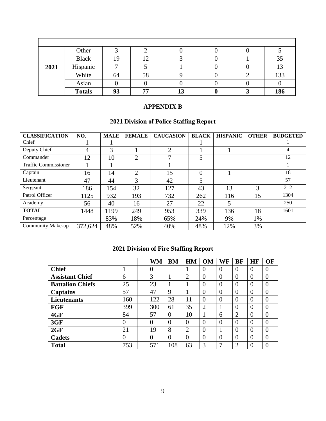|      | Other         |    |                |    |  |     |
|------|---------------|----|----------------|----|--|-----|
|      | <b>Black</b>  | 19 | $\overline{1}$ |    |  | 35  |
| 2021 | Hispanic      | −  |                |    |  |     |
|      | White         | 64 | 58             |    |  | 133 |
|      | Asian         |    |                |    |  |     |
|      | <b>Totals</b> | 93 | 77             | 13 |  | 186 |

## **APPENDIX B**

## **2021 Division of Police Staffing Report**

| <b>CLASSIFICATION</b>       | NO.     | <b>MALE</b> | <b>FEMALE</b>  | <b>CAUCASION</b> | <b>BLACK</b> | <b>HISPANIC</b> | <b>OTHER</b> | <b>BUDGETED</b> |
|-----------------------------|---------|-------------|----------------|------------------|--------------|-----------------|--------------|-----------------|
| Chief                       |         |             |                |                  |              |                 |              |                 |
| Deputy Chief                | 4       | 3           |                | 2                |              |                 |              | 4               |
| Commander                   | 12      | 10          | $\overline{2}$ | ⇁                | 5            |                 |              | 12              |
| <b>Traffic Commissioner</b> |         |             |                |                  |              |                 |              |                 |
| Captain                     | 16      | 14          | $\overline{2}$ | 15               | 0            |                 |              | 18              |
| Lieutenant                  | 47      | 44          | 3              | 42               |              |                 |              | 57              |
| Sergeant                    | 186     | 154         | 32             | 127              | 43           | 13              | 3            | 212             |
| Patrol Officer              | 1125    | 932         | 193            | 732              | 262          | 116             | 15           | 1304            |
| Academy                     | 56      | 40          | 16             | 27               | 22           | 5               |              | 250             |
| <b>TOTAL</b>                | 1448    | 1199        | 249            | 953              | 339          | 136             | 18           | 1601            |
| Percentage                  |         | 83%         | 18%            | 65%              | 24%          | 9%              | 1%           |                 |
| <b>Community Make-up</b>    | 372,624 | 48%         | 52%            | 40%              | 48%          | 12%             | 3%           |                 |

## **2021 Division of Fire Staffing Report**

|                         |                | WM       | <b>BM</b> | HM             | OM | WF             | <b>BF</b>      | HF               | OF             |
|-------------------------|----------------|----------|-----------|----------------|----|----------------|----------------|------------------|----------------|
| <b>Chief</b>            |                | $\theta$ |           |                | 0  | $\overline{0}$ | $\theta$       | $\Omega$         | $\theta$       |
| <b>Assistant Chief</b>  | 6              | 3        |           | $\overline{2}$ | 0  | 0              | $\theta$       | 0                | $\overline{0}$ |
| <b>Battalion Chiefs</b> | 25             | 23       |           |                | 0  | $\Omega$       | $\overline{0}$ | $\left( \right)$ | 0              |
| <b>Captains</b>         | 57             | 47       | 9         |                | 0  | $\overline{0}$ | $\theta$       | $\Omega$         | 0              |
| <b>Lieutenants</b>      | 160            | 122      | 28        | 11             | 0  | $\overline{0}$ | $\theta$       | 0                | $\Omega$       |
| <b>FGF</b>              | 399            | 300      | 61        | 35             | ⌒  |                | $\Omega$       | $\Omega$         | $\overline{0}$ |
| 4GF                     | 84             | 57       | $\Omega$  | 10             |    | 6              | $\overline{2}$ | $\Omega$         | $\theta$       |
| 3GF                     | $\overline{0}$ | $\theta$ | $\theta$  | 0              | 0  | $\overline{0}$ | $\Omega$       | $\Omega$         | $\theta$       |
| 2GF                     | 21             | 19       | 8         | $\overline{2}$ | 0  |                | $\theta$       | $\Omega$         | $\theta$       |
| <b>Cadets</b>           | $\overline{0}$ | $\Omega$ | $\theta$  | $\theta$       | 0  | $\Omega$       | $\Omega$       | $\Omega$         | $\theta$       |
| <b>Total</b>            | 753            | 571      | 108       | 63             | 3  | ┑              | $\overline{2}$ | $\left( \right)$ | 0              |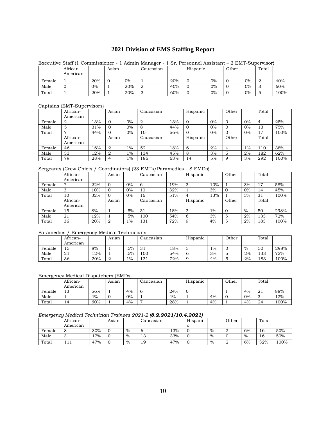## **2021 Division of EMS Staffing Report**

|        | African-<br>American |     | Asian |       | Caucasian |     | Hispanic |       | Other |       | Total |      |
|--------|----------------------|-----|-------|-------|-----------|-----|----------|-------|-------|-------|-------|------|
| Female |                      | 20% |       | $0\%$ |           | 20% |          | $0\%$ |       | $0\%$ |       | 40%  |
| Male   |                      | 0%  |       | 20%   |           | 40% |          | $0\%$ |       | $0\%$ |       | 60%  |
| Total  |                      | 20% |       | 20%   | J.        | 60% |          | $0\%$ |       | $0\%$ |       | 100% |

#### Executive Staff {1 Commissioner - 1 Admin Manager - 1 Sr. Personnel Assistant – 2 EMT-Supervisor}

#### Captains {EMT-Supervisors}

| .      | .                    |     |       |       |                |     |          |       |          |       |       |      |
|--------|----------------------|-----|-------|-------|----------------|-----|----------|-------|----------|-------|-------|------|
|        | African-<br>American |     | Asian |       | Caucasian      |     | Hispanic |       | Other    |       | Total |      |
|        |                      |     |       |       |                |     |          |       |          |       |       |      |
| Female | 2                    | 13% | 0     | $0\%$ | $\overline{2}$ | 13% |          | $0\%$ | $\Omega$ | $0\%$ | 4     | 25%  |
| Male   | 5                    | 31% | O     | $0\%$ | 8              | 44% |          | $0\%$ | 0        | $0\%$ | 13    | 75%  |
| Total  | −                    | 44% |       | $0\%$ | 10             | 56% |          | $0\%$ | $\Omega$ | $0\%$ | 17    | 100% |
|        | African-             |     | Asian |       | Caucasian      |     | Hispanic |       | Other    |       | Total |      |
|        | American             |     |       |       |                |     |          |       |          |       |       |      |
| Female | 46                   | 16% |       | $1\%$ | 52             | 18% | 6        | 2%    | 4        | $1\%$ | 110   | 38%  |
| Male   | 33                   | 12% |       | $1\%$ | 134            | 45% | 8        | 3%    | 5        | 2%    | 182   | 62%  |
| Total  | 79                   | 28% |       | $1\%$ | ، 86           | 63% | 14       | 5%    | 9        | 3%    | 292   | 100% |

#### Sergeants (Crew Chiefs / Coordinators) {23 EMTs/Paramedics – 8 EMDs}

|        | African- |     | Asian | $\cdots$ | Caucasian |     | Hispanic |       | Other    |       | Total |      |
|--------|----------|-----|-------|----------|-----------|-----|----------|-------|----------|-------|-------|------|
|        | American |     |       |          |           |     |          |       |          |       |       |      |
| Female |          | 22% |       | $0\%$    | 6         | 19% | 3        | 10%   |          | 3%    | 17    | 58%  |
| Male   | دت       | 10% |       | $0\%$    | 10        | 32% |          | 3%    | O        | $0\%$ | 14    | 45%  |
| Total  | 10       | 32% |       | 0%       | 16        | 51% | 4        | 13%   |          | 3%    | 31    | 100% |
|        | African- |     | Asian |          | Caucasian |     | Hispanic |       | Other    |       | Total |      |
|        | American |     |       |          |           |     |          |       |          |       |       |      |
| Female | 15       | 8%  |       | .5%      | 31        | 18% | 3        | $1\%$ | $\Omega$ | $\%$  | 50    | 298% |
| Male   | 21       | 12% |       | .5%      | 100       | 54% | 6        | 3%    | 5        | 2%    | 133   | 72%  |
| Total  | 36       | 20% |       | $1\%$    | 131       | 72% | 9        | 4%    | 5        | 2%    | 183   | 100% |

#### Paramedics / Emergency Medical Technicians

|        | African- |        | Asıan |     | Caucasian     |     | Hispanic |    | Other |      | Total |      |
|--------|----------|--------|-------|-----|---------------|-----|----------|----|-------|------|-------|------|
|        | American |        |       |     |               |     |          |    |       |      |       |      |
| Female | 15       | 8%     |       | .5% | $\sim$<br>. പ | 8%، |          | 1% |       | $\%$ | 50    | 298% |
| Male   | 41       | $12\%$ |       | .5% | 100           | 54% |          | 3% | ື     | 2%   | 133   | 72%  |
| Total  | 36       | 20%    |       | 1%  | 131           | 72% |          | 4% | ◡     | 2%   | 183   | 100% |

#### Emergency Medical Dispatchers {EMDs}

|        | African- |     | Asıan |    | Caucasian |     | Hispanic |    | Other |    | Total |      |
|--------|----------|-----|-------|----|-----------|-----|----------|----|-------|----|-------|------|
|        | American |     |       |    |           |     |          |    |       |    |       |      |
| Female | າຕ<br>⊥ບ | 56% |       | 4% |           | 24% |          |    |       | 4% | 21    | 88%  |
| Male   |          | 4%  |       | 0% |           | 4%  |          | 4% |       | 0% |       | 12%  |
| Total  | 14       | 60% |       | 4% | −         | 28% |          | 4% |       | 4% | 24    | 100% |

#### *Emergency Medical Technician Trainees 2021-2 (8.2.2021/10.4.2021)*

|        | African-              |     | Asian |      | Caucasian |     | Hispani |      | Other |      | Total |      |
|--------|-----------------------|-----|-------|------|-----------|-----|---------|------|-------|------|-------|------|
|        | American              |     |       |      |           |     |         |      |       |      |       |      |
| Female | o                     | 30% |       | $\%$ | U         | 13% | ັ       | $\%$ | ∼     | 6%   | 16    | 50%  |
| Male   | ັ                     | 7%  |       | $\%$ | 13        | 33% | ັ       | $\%$ |       | $\%$ | 16    | 50%  |
| Total  | $\mathbf{1}$<br>1 1 1 | 47% |       | $\%$ | 19        | 47% |         | $\%$ | ∼     | 6%   | 32%   | 100% |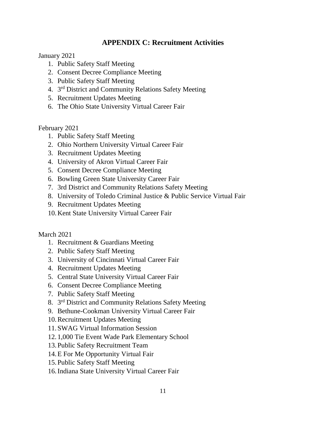## **APPENDIX C: Recruitment Activities**

January 2021

- 1. Public Safety Staff Meeting
- 2. Consent Decree Compliance Meeting
- 3. Public Safety Staff Meeting
- 4. 3<sup>rd</sup> District and Community Relations Safety Meeting
- 5. Recruitment Updates Meeting
- 6. The Ohio State University Virtual Career Fair

February 2021

- 1. Public Safety Staff Meeting
- 2. Ohio Northern University Virtual Career Fair
- 3. Recruitment Updates Meeting
- 4. University of Akron Virtual Career Fair
- 5. Consent Decree Compliance Meeting
- 6. Bowling Green State University Career Fair
- 7. 3rd District and Community Relations Safety Meeting
- 8. University of Toledo Criminal Justice & Public Service Virtual Fair
- 9. Recruitment Updates Meeting
- 10.Kent State University Virtual Career Fair

March 2021

- 1. Recruitment & Guardians Meeting
- 2. Public Safety Staff Meeting
- 3. University of Cincinnati Virtual Career Fair
- 4. Recruitment Updates Meeting
- 5. Central State University Virtual Career Fair
- 6. Consent Decree Compliance Meeting
- 7. Public Safety Staff Meeting
- 8. 3<sup>rd</sup> District and Community Relations Safety Meeting
- 9. Bethune-Cookman University Virtual Career Fair
- 10.Recruitment Updates Meeting
- 11.SWAG Virtual Information Session
- 12. 1,000 Tie Event Wade Park Elementary School
- 13.Public Safety Recruitment Team
- 14.E For Me Opportunity Virtual Fair
- 15.Public Safety Staff Meeting
- 16.Indiana State University Virtual Career Fair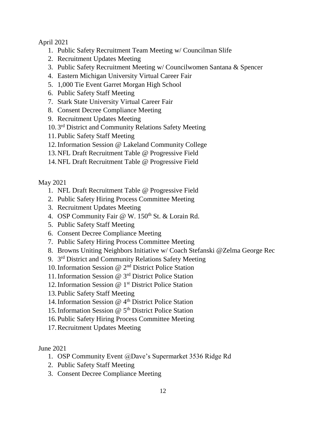## April 2021

- 1. Public Safety Recruitment Team Meeting w/ Councilman Slife
- 2. Recruitment Updates Meeting
- 3. Public Safety Recruitment Meeting w/ Councilwomen Santana & Spencer
- 4. Eastern Michigan University Virtual Career Fair
- 5. 1,000 Tie Event Garret Morgan High School
- 6. Public Safety Staff Meeting
- 7. Stark State University Virtual Career Fair
- 8. Consent Decree Compliance Meeting
- 9. Recruitment Updates Meeting
- 10. 3 rd District and Community Relations Safety Meeting
- 11.Public Safety Staff Meeting
- 12.Information Session @ Lakeland Community College
- 13.NFL Draft Recruitment Table @ Progressive Field
- 14.NFL Draft Recruitment Table @ Progressive Field

May 2021

- 1. NFL Draft Recruitment Table @ Progressive Field
- 2. Public Safety Hiring Process Committee Meeting
- 3. Recruitment Updates Meeting
- 4. OSP Community Fair  $\omega$  W. 150<sup>th</sup> St. & Lorain Rd.
- 5. Public Safety Staff Meeting
- 6. Consent Decree Compliance Meeting
- 7. Public Safety Hiring Process Committee Meeting
- 8. Browns Uniting Neighbors Initiative w/ Coach Stefanski @Zelma George Rec
- 9. 3<sup>rd</sup> District and Community Relations Safety Meeting
- 10.Information Session @ 2nd District Police Station
- 11.Information Session @ 3rd District Police Station
- 12.Information Session @ 1st District Police Station
- 13.Public Safety Staff Meeting
- 14. Information Session  $\omega$  4<sup>th</sup> District Police Station
- 15.Information Session @ 5th District Police Station
- 16.Public Safety Hiring Process Committee Meeting
- 17.Recruitment Updates Meeting

June 2021

- 1. OSP Community Event @Dave's Supermarket 3536 Ridge Rd
- 2. Public Safety Staff Meeting
- 3. Consent Decree Compliance Meeting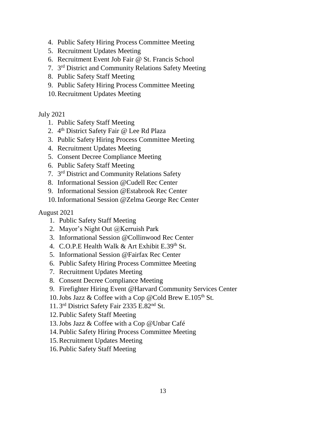- 4. Public Safety Hiring Process Committee Meeting
- 5. Recruitment Updates Meeting
- 6. Recruitment Event Job Fair @ St. Francis School
- 7. 3<sup>rd</sup> District and Community Relations Safety Meeting
- 8. Public Safety Staff Meeting
- 9. Public Safety Hiring Process Committee Meeting
- 10.Recruitment Updates Meeting

## July 2021

- 1. Public Safety Staff Meeting
- 2. 4<sup>th</sup> District Safety Fair @ Lee Rd Plaza
- 3. Public Safety Hiring Process Committee Meeting
- 4. Recruitment Updates Meeting
- 5. Consent Decree Compliance Meeting
- 6. Public Safety Staff Meeting
- 7. 3<sup>rd</sup> District and Community Relations Safety
- 8. Informational Session @Cudell Rec Center
- 9. Informational Session @Estabrook Rec Center
- 10.Informational Session @Zelma George Rec Center

## August 2021

- 1. Public Safety Staff Meeting
- 2. Mayor's Night Out @Kerruish Park
- 3. Informational Session @Collinwood Rec Center
- 4. C.O.P.E Health Walk & Art Exhibit E.39<sup>th</sup> St.
- 5. Informational Session @Fairfax Rec Center
- 6. Public Safety Hiring Process Committee Meeting
- 7. Recruitment Updates Meeting
- 8. Consent Decree Compliance Meeting
- 9. Firefighter Hiring Event @Harvard Community Services Center
- 10. Jobs Jazz & Coffee with a Cop @Cold Brew E.105<sup>th</sup> St.
- 11. 3 rd District Safety Fair 2335 E.82nd St.
- 12.Public Safety Staff Meeting
- 13.Jobs Jazz & Coffee with a Cop @Unbar Café
- 14.Public Safety Hiring Process Committee Meeting
- 15.Recruitment Updates Meeting
- 16.Public Safety Staff Meeting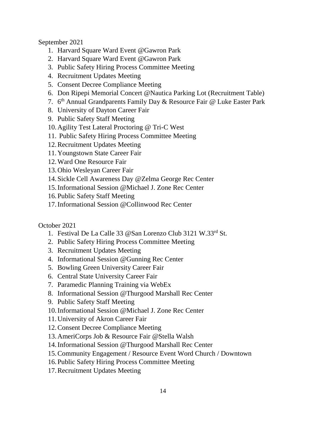September 2021

- 1. Harvard Square Ward Event @Gawron Park
- 2. Harvard Square Ward Event @Gawron Park
- 3. Public Safety Hiring Process Committee Meeting
- 4. Recruitment Updates Meeting
- 5. Consent Decree Compliance Meeting
- 6. Don Ripepi Memorial Concert @Nautica Parking Lot (Recruitment Table)
- 7. 6<sup>th</sup> Annual Grandparents Family Day & Resource Fair @ Luke Easter Park
- 8. University of Dayton Career Fair
- 9. Public Safety Staff Meeting
- 10.Agility Test Lateral Proctoring @ Tri-C West
- 11. Public Safety Hiring Process Committee Meeting
- 12.Recruitment Updates Meeting
- 11.Youngstown State Career Fair
- 12.Ward One Resource Fair
- 13.Ohio Wesleyan Career Fair
- 14.Sickle Cell Awareness Day @Zelma George Rec Center
- 15.Informational Session @Michael J. Zone Rec Center
- 16.Public Safety Staff Meeting
- 17.Informational Session @Collinwood Rec Center

## October 2021

- 1. Festival De La Calle 33 @San Lorenzo Club 3121 W.33rd St.
- 2. Public Safety Hiring Process Committee Meeting
- 3. Recruitment Updates Meeting
- 4. Informational Session @Gunning Rec Center
- 5. Bowling Green University Career Fair
- 6. Central State University Career Fair
- 7. Paramedic Planning Training via WebEx
- 8. Informational Session @Thurgood Marshall Rec Center
- 9. Public Safety Staff Meeting
- 10.Informational Session @Michael J. Zone Rec Center
- 11.University of Akron Career Fair
- 12.Consent Decree Compliance Meeting
- 13.AmeriCorps Job & Resource Fair @Stella Walsh
- 14.Informational Session @Thurgood Marshall Rec Center
- 15.Community Engagement / Resource Event Word Church / Downtown
- 16.Public Safety Hiring Process Committee Meeting
- 17.Recruitment Updates Meeting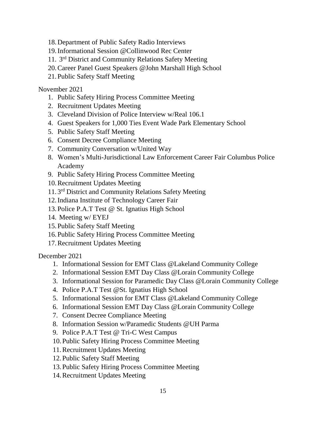- 18.Department of Public Safety Radio Interviews
- 19.Informational Session @Collinwood Rec Center
- 11. 3<sup>rd</sup> District and Community Relations Safety Meeting
- 20.Career Panel Guest Speakers @John Marshall High School
- 21.Public Safety Staff Meeting

## November 2021

- 1. Public Safety Hiring Process Committee Meeting
- 2. Recruitment Updates Meeting
- 3. Cleveland Division of Police Interview w/Real 106.1
- 4. Guest Speakers for 1,000 Ties Event Wade Park Elementary School
- 5. Public Safety Staff Meeting
- 6. Consent Decree Compliance Meeting
- 7. Community Conversation w/United Way
- 8. Women's Multi-Jurisdictional Law Enforcement Career Fair Columbus Police Academy
- 9. Public Safety Hiring Process Committee Meeting
- 10.Recruitment Updates Meeting
- 11.3<sup>rd</sup> District and Community Relations Safety Meeting
- 12.Indiana Institute of Technology Career Fair
- 13.Police P.A.T Test @ St. Ignatius High School
- 14. Meeting w/ EYEJ
- 15.Public Safety Staff Meeting
- 16.Public Safety Hiring Process Committee Meeting
- 17.Recruitment Updates Meeting

December 2021

- 1. Informational Session for EMT Class @Lakeland Community College
- 2. Informational Session EMT Day Class @Lorain Community College
- 3. Informational Session for Paramedic Day Class @Lorain Community College
- 4. Police P.A.T Test @St. Ignatius High School
- 5. Informational Session for EMT Class @Lakeland Community College
- 6. Informational Session EMT Day Class @Lorain Community College
- 7. Consent Decree Compliance Meeting
- 8. Information Session w/Paramedic Students @UH Parma
- 9. Police P.A.T Test @ Tri-C West Campus
- 10.Public Safety Hiring Process Committee Meeting
- 11.Recruitment Updates Meeting
- 12.Public Safety Staff Meeting
- 13.Public Safety Hiring Process Committee Meeting
- 14.Recruitment Updates Meeting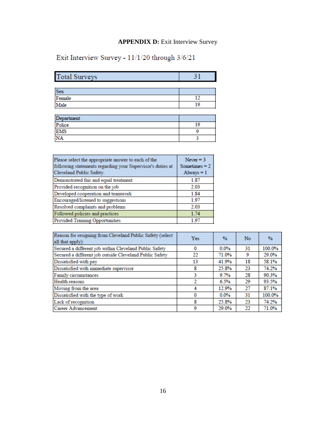## **APPENDIX D:** Exit Interview Survey

Exit Interview Survey - 11/1/20 through 3/6/21

| <b>Total Surveys</b> | 31 |
|----------------------|----|
|                      |    |
| <b>Sex</b>           |    |
| Female               | 12 |
| Male                 | 19 |
|                      |    |
| Department           |    |
| Police               | 19 |
| EMS<br>NA            | 9  |
|                      | 3  |

| Please select the appropriate answer to each of the<br>following statements regarding your Supervisor's duties at<br>Cleveland Public Safety. | Never $=$ 3<br>Sometimes $= 2$<br>$Always = 1$ |
|-----------------------------------------------------------------------------------------------------------------------------------------------|------------------------------------------------|
| Demonstrated fair and equal treatment                                                                                                         | 1.87                                           |
| Provided recognition on the job                                                                                                               | 2.03                                           |
| Developed cooperation and teamwork                                                                                                            | 1.84                                           |
| Encouraged/listened to suggestions                                                                                                            | 197                                            |
| Resolved complaints and problems                                                                                                              | 2.03                                           |
| Followed policies and practices                                                                                                               | 1.74                                           |
| <b>Provided Training Opportunities</b>                                                                                                        | 197                                            |

| Reason for resigning from Cleveland Public Safety (select<br>all that apply): | <b>Yes</b> | $\frac{9}{6}$ | <b>No</b> | $\frac{9}{6}$ |
|-------------------------------------------------------------------------------|------------|---------------|-----------|---------------|
| Secured a different job within Cleveland Public Safety                        | $\Omega$   | $0.0\%$       | 31        | 100.0%        |
| Secured a different job outside Cleveland Public Safety                       | 22         | 71.0%         | 9         | 29.0%         |
| Dissatisfied with pay                                                         | 13         | 41.9%         | 18        | 58.1%         |
| Dissatisfied with immediate supervisor                                        | 8          | 25.8%         | 23        | 74.2%         |
| Family circumstances                                                          | 3          | 9.7%          | 28        | 90.3%         |
| Health reasons                                                                |            | 6.5%          | 29        | 93.5%         |
| Moving from the area                                                          |            | 12.9%         | 27        | 87.1%         |
| Dissatisfied with the type of work                                            | $\Omega$   | $0.0\%$       | 31        | 100.0%        |
| Lack of recognition                                                           | 8          | 25.8%         | 23        | 74.2%         |
| Career Advancement                                                            | 9          | 29.0%         | 22        | 71.0%         |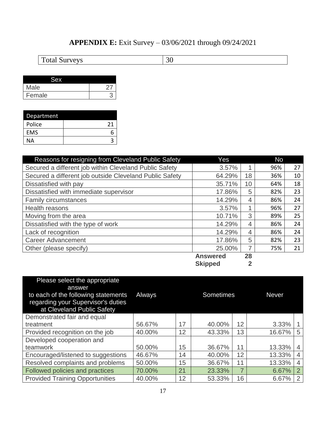## **APPENDIX E:** Exit Survey – 03/06/2021 through 09/24/2021

Total Surveys 30

| Male   |  |
|--------|--|
| Female |  |

| Department |    |
|------------|----|
| Police     | 21 |
| <b>EMS</b> | 6  |
| ΝA         |    |

| Reasons for resigning from Cleveland Public Safety      | Yes             |    | <b>No</b> |    |
|---------------------------------------------------------|-----------------|----|-----------|----|
| Secured a different job within Cleveland Public Safety  | 3.57%           | 4  | 96%       | 27 |
| Secured a different job outside Cleveland Public Safety | 64.29%          | 18 | 36%       | 10 |
| Dissatisfied with pay                                   | 35.71%          | 10 | 64%       | 18 |
| Dissatisfied with immediate supervisor                  | 17.86%          | 5  | 82%       | 23 |
| <b>Family circumstances</b>                             | 14.29%          | 4  | 86%       | 24 |
| Health reasons                                          | 3.57%           | и  | 96%       | 27 |
| Moving from the area                                    | 10.71%          | 3  | 89%       | 25 |
| Dissatisfied with the type of work                      | 14.29%          | 4  | 86%       | 24 |
| Lack of recognition                                     | 14.29%          | 4  | 86%       | 24 |
| <b>Career Advancement</b>                               | 17.86%          | 5  | 82%       | 23 |
| Other (please specify)                                  | 25.00%          | 7  | 75%       | 21 |
|                                                         | <b>Answered</b> | 28 |           |    |

**Skipped 2**

| Please select the appropriate<br>answer<br>to each of the following statements<br>regarding your Supervisor's duties<br>at Cleveland Public Safety | Always |    | <b>Sometimes</b> |                | <b>Never</b> |                |
|----------------------------------------------------------------------------------------------------------------------------------------------------|--------|----|------------------|----------------|--------------|----------------|
| Demonstrated fair and equal                                                                                                                        |        |    |                  |                |              |                |
| treatment                                                                                                                                          | 56.67% | 17 | 40.00%           | 12             | 3.33%        |                |
| Provided recognition on the job                                                                                                                    | 40.00% | 12 | 43.33%           | 13             | 16.67%       | 5              |
| Developed cooperation and                                                                                                                          |        |    |                  |                |              |                |
| teamwork                                                                                                                                           | 50.00% | 15 | 36.67%           | 11             | 13.33%       | $\overline{4}$ |
| Encouraged/listened to suggestions                                                                                                                 | 46.67% | 14 | 40.00%           | 12             | 13.33%       | $\overline{4}$ |
| Resolved complaints and problems                                                                                                                   | 50.00% | 15 | 36.67%           | 11             | 13.33%       | $\overline{4}$ |
| Followed policies and practices                                                                                                                    | 70.00% | 21 | 23.33%           | $\overline{7}$ | 6.67%        | $\overline{2}$ |
| <b>Provided Training Opportunities</b>                                                                                                             | 40.00% | 12 | 53.33%           | 16             | 6.67%        | $\overline{2}$ |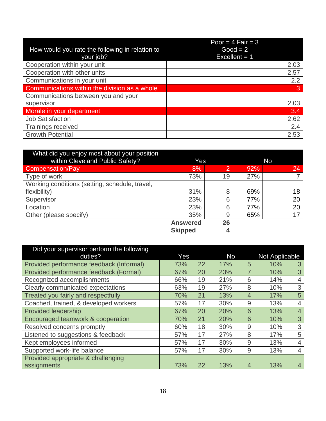| How would you rate the following in relation to | Poor = $4$ Fair = $3$<br>$Good = 2$ |
|-------------------------------------------------|-------------------------------------|
| your job?                                       | Excellent $= 1$                     |
| Cooperation within your unit                    | 2.03                                |
| Cooperation with other units                    | 2.57                                |
| Communications in your unit                     | 2.2                                 |
| Communications within the division as a whole   | 3                                   |
| Communications between you and your             |                                     |
| supervisor                                      | 2.03                                |
| Morale in your department                       | 3.4                                 |
| <b>Job Satisfaction</b>                         | 2.62                                |
| <b>Trainings received</b>                       | 2.4                                 |
| <b>Growth Potential</b>                         | 2.53                                |

| What did you enjoy most about your position    |                 |          |     |    |  |
|------------------------------------------------|-----------------|----------|-----|----|--|
| within Cleveland Public Safety?                | Yes             |          | No  |    |  |
| <b>Compensation/Pay</b>                        | 8%              | <b>2</b> | 92% | 24 |  |
| Type of work                                   | 73%             | 19       | 27% |    |  |
| Working conditions (setting, schedule, travel, |                 |          |     |    |  |
| flexibility)                                   | 31%             | 8        | 69% | 18 |  |
| Supervisor                                     | 23%             | 6        | 77% | 20 |  |
| Location                                       | 23%             | 6        | 77% | 20 |  |
| Other (please specify)                         | 35%             | 9        | 65% | 17 |  |
|                                                | <b>Answered</b> | 26       |     |    |  |
|                                                | <b>Skipped</b>  | 4        |     |    |  |

| Did your supervisor perform the following |     |    |     |                |                |                |
|-------------------------------------------|-----|----|-----|----------------|----------------|----------------|
| duties?                                   | Yes |    | No  |                | Not Applicable |                |
| Provided performance feedback (Informal)  | 73% | 22 | 17% | 5              | 10%            | 3              |
| Provided performance feedback (Formal)    | 67% | 20 | 23% | 7              | 10%            | 3              |
| Recognized accomplishments                | 66% | 19 | 21% | 6              | 14%            | 4              |
| Clearly communicated expectations         | 63% | 19 | 27% | 8              | 10%            | 3              |
| Treated you fairly and respectfully       | 70% | 21 | 13% | $\overline{4}$ | 17%            | 5              |
| Coached, trained, & developed workers     | 57% | 17 | 30% | 9              | 13%            | 4              |
| <b>Provided leadership</b>                | 67% | 20 | 20% | 6              | 13%            | $\overline{4}$ |
| Encouraged teamwork & cooperation         | 70% | 21 | 20% | 6              | 10%            | 3              |
| Resolved concerns promptly                | 60% | 18 | 30% | 9              | 10%            | 3              |
| Listened to suggestions & feedback        | 57% | 17 | 27% | 8              | 17%            | 5              |
| Kept employees informed                   | 57% | 17 | 30% | 9              | 13%            | $\overline{4}$ |
| Supported work-life balance               | 57% | 17 | 30% | 9              | 13%            | 4              |
| Provided appropriate & challenging        |     |    |     |                |                |                |
| assignments                               | 73% | 22 | 13% | $\overline{4}$ | 13%            | 4              |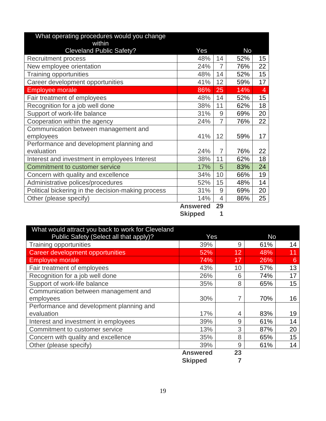| What operating procedures would you change         |                 |                |           |    |
|----------------------------------------------------|-----------------|----------------|-----------|----|
| within                                             |                 |                |           |    |
| <b>Cleveland Public Safety?</b>                    | Yes             |                | <b>No</b> |    |
| <b>Recruitment process</b>                         | 48%             | 14             | 52%       | 15 |
| New employee orientation                           | 24%             | $\overline{7}$ | 76%       | 22 |
| <b>Training opportunities</b>                      | 48%             | 14             | 52%       | 15 |
| Career development opportunities                   | 41%             | 12             | 59%       | 17 |
| <b>Employee morale</b>                             | 86%             | 25             | 14%       | 4  |
| Fair treatment of employees                        | 48%             | 14             | 52%       | 15 |
| Recognition for a job well done                    | 38%             | 11             | 62%       | 18 |
| Support of work-life balance                       | 31%             | 9              | 69%       | 20 |
| Cooperation within the agency                      | 24%             | $\overline{7}$ | 76%       | 22 |
| Communication between management and               |                 |                |           |    |
| employees                                          | 41%             | 12             | 59%       | 17 |
| Performance and development planning and           |                 |                |           |    |
| evaluation                                         | 24%             | 7              | 76%       | 22 |
| Interest and investment in employees Interest      | 38%             | 11             | 62%       | 18 |
| <b>Commitment to customer service</b>              | 17%             | 5              | 83%       | 24 |
| Concern with quality and excellence                | 34%             | 10             | 66%       | 19 |
| Administrative polices/procedures                  | 52%             | 15             | 48%       | 14 |
| Political bickering in the decision-making process | 31%             | 9              | 69%       | 20 |
| Other (please specify)                             | 14%             | 4              | 86%       | 25 |
|                                                    | <b>Answered</b> | 29             |           |    |

**Answered 29 Skipped 1**

| What would attract you back to work for Cleveland |                 |    |     |    |
|---------------------------------------------------|-----------------|----|-----|----|
| Public Safety (Select all that apply)?            | Yes             |    | No  |    |
| <b>Training opportunities</b>                     | 39%             | 9  | 61% | 14 |
| Career development opportunities                  | 52%             | 12 | 48% | 11 |
| <b>Employee morale</b>                            | 74%             | 17 | 26% | 6  |
| Fair treatment of employees                       | 43%             | 10 | 57% | 13 |
| Recognition for a job well done                   | 26%             | 6  | 74% | 17 |
| Support of work-life balance                      | 35%             | 8  | 65% | 15 |
| Communication between management and              |                 |    |     |    |
| employees                                         | 30%             |    | 70% | 16 |
| Performance and development planning and          |                 |    |     |    |
| evaluation                                        | 17%             | 4  | 83% | 19 |
| Interest and investment in employees              | 39%             | 9  | 61% | 14 |
| Commitment to customer service                    | 13%             | 3  | 87% | 20 |
| Concern with quality and excellence               | 35%             | 8  | 65% | 15 |
| Other (please specify)                            | 39%             | 9  | 61% | 14 |
|                                                   | <b>Answered</b> | 23 |     |    |
|                                                   | <b>Skipped</b>  |    |     |    |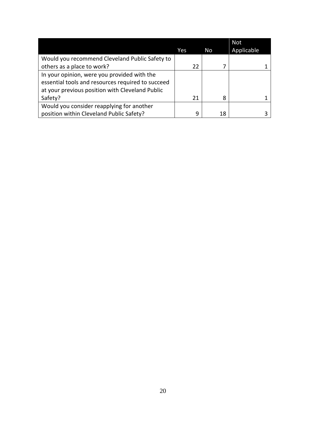|                                                   |     |    | <b>Not</b> |
|---------------------------------------------------|-----|----|------------|
|                                                   | Yes | No | Applicable |
| Would you recommend Cleveland Public Safety to    |     |    |            |
| others as a place to work?                        | 22  |    |            |
| In your opinion, were you provided with the       |     |    |            |
| essential tools and resources required to succeed |     |    |            |
| at your previous position with Cleveland Public   |     |    |            |
| Safety?                                           | 21  | 8  |            |
| Would you consider reapplying for another         |     |    |            |
| position within Cleveland Public Safety?          | q   | 18 |            |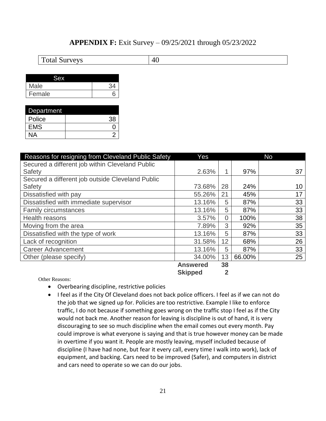## **APPENDIX F:** Exit Survey – 09/25/2021 through 05/23/2022

| <b>Total Surveys</b> | $\mid$ 40 |
|----------------------|-----------|
|                      |           |

| Male   |  |
|--------|--|
| Female |  |

| Department |    |
|------------|----|
| Police     | 38 |
| <b>EMS</b> |    |
| NA         |    |

| Reasons for resigning from Cleveland Public Safety | Yes             |                         |        | <b>No</b> |
|----------------------------------------------------|-----------------|-------------------------|--------|-----------|
| Secured a different job within Cleveland Public    |                 |                         |        |           |
| Safety                                             | 2.63%           |                         | 97%    | 37        |
| Secured a different job outside Cleveland Public   |                 |                         |        |           |
| Safety                                             | 73.68%          | 28                      | 24%    | 10        |
| Dissatisfied with pay                              | 55.26%          | 21                      | 45%    | 17        |
| Dissatisfied with immediate supervisor             | 13.16%          | 5                       | 87%    | 33        |
| <b>Family circumstances</b>                        | 13.16%          | 5                       | 87%    | 33        |
| <b>Health reasons</b>                              | 3.57%           | $\overline{0}$          | 100%   | 38        |
| Moving from the area                               | 7.89%           | 3                       | 92%    | 35        |
| Dissatisfied with the type of work                 | 13.16%          | 5                       | 87%    | 33        |
| Lack of recognition                                | 31.58%          | 12                      | 68%    | 26        |
| <b>Career Advancement</b>                          | 13.16%          | 5                       | 87%    | 33        |
| Other (please specify)                             | 34.00%          | 13                      | 66.00% | 25        |
|                                                    | <b>Answered</b> | 38                      |        |           |
|                                                    | <b>Skipped</b>  | $\overline{\mathbf{2}}$ |        |           |

- Overbearing discipline, restrictive policies
- I feel as if the City Of Cleveland does not back police officers. I feel as if we can not do the job that we signed up for. Policies are too restrictive. Example I like to enforce traffic, I do not because if something goes wrong on the traffic stop I feel as if the City would not back me. Another reason for leaving is discipline is out of hand, it is very discouraging to see so much discipline when the email comes out every month. Pay could improve is what everyone is saying and that is true however money can be made in overtime if you want it. People are mostly leaving, myself included because of discipline (I have had none, but fear it every call, every time I walk into work), lack of equipment, and backing. Cars need to be improved (Safer), and computers in district and cars need to operate so we can do our jobs.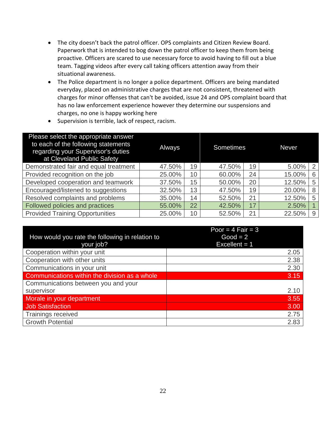- The city doesn't back the patrol officer. OPS complaints and Citizen Review Board. Paperwork that is intended to bog down the patrol officer to keep them from being proactive. Officers are scared to use necessary force to avoid having to fill out a blue team. Tagging videos after every call taking officers attention away from their situational awareness.
- The Police department is no longer a police department. Officers are being mandated everyday, placed on administrative charges that are not consistent, threatened with charges for minor offenses that can't be avoided, issue 24 and OPS complaint board that has no law enforcement experience however they determine our suspensions and charges, no one is happy working here
- Supervision is terrible, lack of respect, racism.

| Please select the appropriate answer<br>to each of the following statements<br>regarding your Supervisor's duties<br>at Cleveland Public Safety | <b>Always</b> |    | <b>Sometimes</b> |    | <b>Never</b> |   |
|-------------------------------------------------------------------------------------------------------------------------------------------------|---------------|----|------------------|----|--------------|---|
| Demonstrated fair and equal treatment                                                                                                           | 47.50%        | 19 | 47.50%           | 19 | 5.00%        | 2 |
| Provided recognition on the job                                                                                                                 | 25.00%        | 10 | 60.00%           | 24 | 15.00%       | 6 |
| Developed cooperation and teamwork                                                                                                              | 37.50%        | 15 | 50.00%           | 20 | 12.50%       | 5 |
| Encouraged/listened to suggestions                                                                                                              | 32.50%        | 13 | 47.50%           | 19 | 20.00%       | 8 |
| Resolved complaints and problems                                                                                                                | 35.00%        | 14 | 52.50%           | 21 | 12.50%       | 5 |
| Followed policies and practices                                                                                                                 | 55.00%        | 22 | 42.50%           | 17 | 2.50%        |   |
| <b>Provided Training Opportunities</b>                                                                                                          | 25.00%        | 10 | 52.50%           | 21 | 22.50%       | 9 |

|                                                 | Poor = $4$ Fair = $3$ |
|-------------------------------------------------|-----------------------|
| How would you rate the following in relation to | $Good = 2$            |
| your job?                                       | Excellent $= 1$       |
| Cooperation within your unit                    | 2.05                  |
| Cooperation with other units                    | 2.38                  |
| Communications in your unit                     | 2.30                  |
| Communications within the division as a whole   | 3.15                  |
| Communications between you and your             |                       |
| supervisor                                      | 2.10                  |
| Morale in your department                       | 3.55                  |
| <b>Job Satisfaction</b>                         | 3.00                  |
| <b>Trainings received</b>                       | 2.75                  |
| <b>Growth Potential</b>                         | 2.83                  |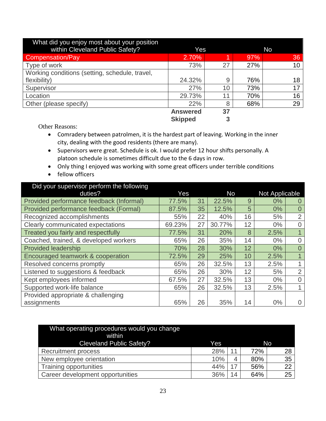| What did you enjoy most about your position    |                 |    |           |                 |  |
|------------------------------------------------|-----------------|----|-----------|-----------------|--|
| within Cleveland Public Safety?                | Yes             |    | <b>No</b> |                 |  |
| Compensation/Pay                               | 2.70%           | 4  | 97%       | 36              |  |
| Type of work                                   | 73%             | 27 | 27%       | 10 <sup>°</sup> |  |
| Working conditions (setting, schedule, travel, |                 |    |           |                 |  |
| flexibility)                                   | 24.32%          | 9  | 76%       | 18              |  |
| Supervisor                                     | 27%             | 10 | 73%       | 17              |  |
| Location                                       | 29.73%          | 11 | 70%       | 16              |  |
| Other (please specify)                         | 22%             | 8  | 68%       | 29              |  |
|                                                | <b>Answered</b> | 37 |           |                 |  |
|                                                | <b>Skipped</b>  | 3  |           |                 |  |

- Comradery between patrolmen, it is the hardest part of leaving. Working in the inner city, dealing with the good residents (there are many).
- Supervisors were great. Schedule is ok. I would prefer 12 hour shifts personally. A platoon schedule is sometimes difficult due to the 6 days in row.
- Only thing I enjoyed was working with some great officers under terrible conditions
- fellow officers

| Did your supervisor perform the following |        |    |           |    |                       |                |
|-------------------------------------------|--------|----|-----------|----|-----------------------|----------------|
| duties?                                   | Yes    |    | <b>No</b> |    | <b>Not Applicable</b> |                |
| Provided performance feedback (Informal)  | 77.5%  | 31 | 22.5%     | 9  | 0%                    | $\Omega$       |
| Provided performance feedback (Formal)    | 87.5%  | 35 | 12.5%     | 5  | 0%                    | $\overline{0}$ |
| Recognized accomplishments                | 55%    | 22 | 40%       | 16 | 5%                    | 2              |
| Clearly communicated expectations         | 69.23% | 27 | 30.77%    | 12 | $0\%$                 | $\overline{0}$ |
| Treated you fairly and respectfully       | 77.5%  | 31 | 20%       | 8  | 2.5%                  |                |
| Coached, trained, & developed workers     | 65%    | 26 | 35%       | 14 | 0%                    | $\overline{0}$ |
| <b>Provided leadership</b>                | 70%    | 28 | 30%       | 12 | 0%                    | $\overline{0}$ |
| Encouraged teamwork & cooperation         | 72.5%  | 29 | 25%       | 10 | 2.5%                  | $\overline{1}$ |
| Resolved concerns promptly                | 65%    | 26 | 32.5%     | 13 | 2.5%                  |                |
| Listened to suggestions & feedback        | 65%    | 26 | 30%       | 12 | 5%                    | 2              |
| Kept employees informed                   | 67.5%  | 27 | 32.5%     | 13 | $0\%$                 | $\overline{0}$ |
| Supported work-life balance               | 65%    | 26 | 32.5%     | 13 | 2.5%                  | 1              |
| Provided appropriate & challenging        |        |    |           |    |                       |                |
| assignments                               | 65%    | 26 | 35%       | 14 | 0%                    | $\overline{0}$ |

| What operating procedures would you change<br>within<br><b>Cleveland Public Safety?</b> | Yes |    |     | No |
|-----------------------------------------------------------------------------------------|-----|----|-----|----|
| <b>Recruitment process</b>                                                              | 28% |    | 72% | 28 |
| New employee orientation                                                                | 10% | 4  | 80% | 35 |
| Training opportunities                                                                  | 44% |    | 56% | 22 |
| Career development opportunities                                                        | 36% | 14 | 64% | 25 |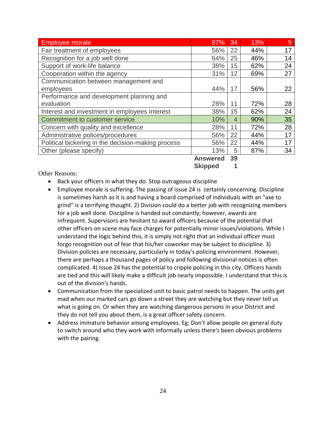| <b>Employee morale</b>                             | 87%             | 34 | 13% | 5  |
|----------------------------------------------------|-----------------|----|-----|----|
| Fair treatment of employees                        | 56%             | 22 | 44% | 17 |
| Recognition for a job well done                    | 64%             | 25 | 46% | 14 |
| Support of work-life balance                       | 38%             | 15 | 62% | 24 |
| Cooperation within the agency                      | 31%             | 12 | 69% | 27 |
| Communication between management and               |                 |    |     |    |
| employees                                          | 44%             | 17 | 56% | 22 |
| Performance and development planning and           |                 |    |     |    |
| evaluation                                         | 28%             | 11 | 72% | 28 |
| Interest and investment in employees Interest      | 38%             | 15 | 62% | 24 |
| Commitment to customer service                     | 10%             | 4  | 90% | 35 |
| Concern with quality and excellence                | 28%             | 11 | 72% | 28 |
| Administrative polices/procedures                  | 56%             | 22 | 44% | 17 |
| Political bickering in the decision-making process | 56%             | 22 | 44% | 17 |
| Other (please specify)                             | 13%             | 5  | 87% | 34 |
|                                                    | <b>Answered</b> | 39 |     |    |

**Skipped 1**

- Back your officers in what they do. Stop outrageous discipline
- Employee morale is suffering. The passing of issue 24 is certainly concerning. Discipline is sometimes harsh as it is and having a board comprised of individuals with an "axe to grind" is a terrifying thought. 2) Division could do a better job with recognizing members for a job well done. Discipline is handed out constantly; however, awards are infrequent. Supervisors are hesitant to award officers because of the potential that other officers on scene may face charges for potentially minor issues/violations. While I understand the logic behind this, it is simply not right that an individual officer must forgo recognition out of fear that his/her coworker may be subject to discipline. 3) Division policies are necessary, particularly in today's policing environment. However, there are perhaps a thousand pages of policy and following divisional notices is often complicated. 4) Issue 24 has the potential to cripple policing in this city. Officers hands are tied and this will likely make a difficult job nearly impossible. I understand that this is out of the division's hands.
- Communication from the specialized unit to basic patrol needs to happen. The units get mad when our marked cars go down a street they are watching but they never tell us what is going on. Or when they are watching dangerous persons in your District and they do not tell you about them, is a great officer safety concern.
- Address immature behavior among employees. Eg: Don't allow people on general duty to switch around who they work with informally unless there's been obvious problems with the pairing.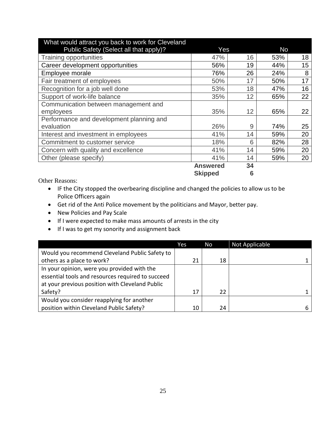| What would attract you back to work for Cleveland |                 |    |     |    |  |
|---------------------------------------------------|-----------------|----|-----|----|--|
| Public Safety (Select all that apply)?            | Yes             |    | No  |    |  |
| <b>Training opportunities</b>                     | 47%             | 16 | 53% | 18 |  |
| Career development opportunities                  | 56%             | 19 | 44% | 15 |  |
| Employee morale                                   | 76%             | 26 | 24% | 8  |  |
| Fair treatment of employees                       | 50%             | 17 | 50% | 17 |  |
| Recognition for a job well done                   | 53%             | 18 | 47% | 16 |  |
| Support of work-life balance                      | 35%             | 12 | 65% | 22 |  |
| Communication between management and              |                 |    |     |    |  |
| employees                                         | 35%             | 12 | 65% | 22 |  |
| Performance and development planning and          |                 |    |     |    |  |
| evaluation                                        | 26%             | 9  | 74% | 25 |  |
| Interest and investment in employees              | 41%             | 14 | 59% | 20 |  |
| Commitment to customer service                    | 18%             | 6  | 82% | 28 |  |
| Concern with quality and excellence               | 41%             | 14 | 59% | 20 |  |
| Other (please specify)                            | 41%             | 14 | 59% | 20 |  |
|                                                   | <b>Answered</b> | 34 |     |    |  |
|                                                   | <b>Skipped</b>  | 6  |     |    |  |

- IF the City stopped the overbearing discipline and changed the policies to allow us to be Police Officers again
- Get rid of the Anti Police movement by the politicians and Mayor, better pay.
- New Policies and Pay Scale
- If I were expected to make mass amounts of arrests in the city
- If I was to get my sonority and assignment back

|                                                   | Yes | No | Not Applicable |   |
|---------------------------------------------------|-----|----|----------------|---|
| Would you recommend Cleveland Public Safety to    |     |    |                |   |
| others as a place to work?                        | 21  | 18 |                |   |
| In your opinion, were you provided with the       |     |    |                |   |
| essential tools and resources required to succeed |     |    |                |   |
| at your previous position with Cleveland Public   |     |    |                |   |
| Safety?                                           | 17  | 22 |                |   |
| Would you consider reapplying for another         |     |    |                |   |
| position within Cleveland Public Safety?          | 10  | 24 |                | b |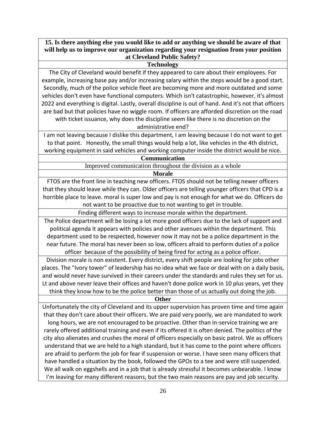**15. Is there anything else you would like to add or anything we should be aware of that will help us to improve our organization regarding your resignation from your position at Cleveland Public Safety?**

#### **Technology**

The City of Cleveland would benefit if they appeared to care about their employees. For example, increasing base pay and/or increasing salary within the steps would be a good start. Secondly, much of the police vehicle fleet are becoming more and more outdated and some vehicles don't even have functional computers. Which isn't catastrophic, however, it's almost 2022 and everything is digital. Lastly, overall discipline is out of hand. And it's not that officers are bad but that policies have no wiggle room. If officers are afforded discretion on the road with ticket issuance, why does the discipline seem like there is no discretion on the

administrative end?

I am not leaving because I dislike this department, I am leaving because I do not want to get to that point. Honestly, the small things would help a lot, like vehicles in the 4th district, working equipment in said vehicles and working computer inside the district would be nice.

horrible place to leave. moral is super low and pay is not enough for what we do. Officers do not want to be proactive due to not wanting to get in trouble.

Finding different ways to increase morale within the department.

The Police department will be losing a lot more good officers due to the lack of support and political agenda it appears with policies and other avenues within the department. This department used to be respected, however now it may not be a police department in the near future. The moral has never been so low, officers afraid to perform duties of a police officer because of the possibility of being fired for acting as a police officer.

Division morale is non existent. Every district, every shift people are looking for jobs other places. The "Ivory tower" of leadership has no idea what we face or deal with on a daily basis, and would never have survived in their careers under the standards and rules they set for us. Lt and above never leave their offices and haven't done police work in 10 plus years, yet they think they know how to be the police better than those of us actually out doing the job.

#### **Other**

Unfortunately the city of Cleveland and its upper supervision has proven time and time again that they don't care about their officers. We are paid very poorly, we are mandated to work long hours, we are not encouraged to be proactive. Other than in-service training we are rarely offered additional training and even if its offered it is often denied. The politics of the city also alienates and crushes the moral of officers especially on basic patrol. We as officers understand that we are held to a high standard, but it has come to the point where officers are afraid to perform the job for fear if suspension or worse. I have seen many officers that have handled a situation by the book, followed the GPOs to a tee and were still suspended. We all walk on eggshells and in a job that is already stressful it becomes unbearable. I know I'm leaving for many different reasons, but the two main reasons are pay and job security.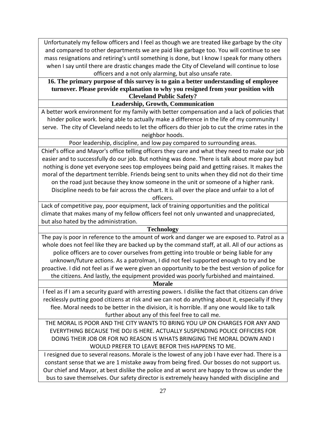Unfortunately my fellow officers and I feel as though we are treated like garbage by the city and compared to other departments we are paid like garbage too. You will continue to see mass resignations and retiring's until something is done, but I know I speak for many others when I say until there are drastic changes made the City of Cleveland will continue to lose officers and a not only alarming, but also unsafe rate.

## **16. The primary purpose of this survey is to gain a better understanding of employee turnover. Please provide explanation to why you resigned from your position with Cleveland Public Safety?**

**Leadership, Growth, Communication**

A better work environment for my family with better compensation and a lack of policies that hinder police work. being able to actually make a difference in the life of my community I serve. The city of Cleveland needs to let the officers do thier job to cut the crime rates in the neighbor hoods.

Poor leadership, discipline, and low pay compared to surrounding areas.

Chief's office and Mayor's office telling officers they care and what they need to make our job easier and to successfully do our job. But nothing was done. There is talk about more pay but nothing is done yet everyone sees top employees being paid and getting raises. It makes the moral of the department terrible. Friends being sent to units when they did not do their time on the road just because they know someone in the unit or someone of a higher rank.

Discipline needs to be fair across the chart. It is all over the place and unfair to a lot of officers.

Lack of competitive pay, poor equipment, lack of training opportunities and the political climate that makes many of my fellow officers feel not only unwanted and unappreciated, but also hated by the administration.

## **Technology**

The pay is poor in reference to the amount of work and danger we are exposed to. Patrol as a whole does not feel like they are backed up by the command staff, at all. All of our actions as police officers are to cover ourselves from getting into trouble or being liable for any unknown/future actions. As a patrolman, I did not feel supported enough to try and be proactive. I did not feel as if we were given an opportunity to be the best version of police for the citizens. And lastly, the equipment provided was poorly furbished and maintained.

**Morale**

I feel as if I am a security guard with arresting powers. I dislike the fact that citizens can drive recklessly putting good citizens at risk and we can not do anything about it, especially if they flee. Moral needs to be better in the division, it is horrible. If any one would like to talk further about any of this feel free to call me.

THE MORAL IS POOR AND THE CITY WANTS TO BRING YOU UP ON CHARGES FOR ANY AND EVERYTHING BECAUSE THE DOJ IS HERE. ACTUALLY SUSPENDING POLICE OFFICERS FOR DOING THEIR JOB OR FOR NO REASON IS WHATS BRINGING THE MORAL DOWN AND I WOULD PREFER TO LEAVE BEFOR THIS HAPPENS TO ME.

I resigned due to several reasons. Morale is the lowest of any job I have ever had. There is a constant sense that we are 1 mistake away from being fired. Our bosses do not support us. Our chief and Mayor, at best dislike the police and at worst are happy to throw us under the bus to save themselves. Our safety director is extremely heavy handed with discipline and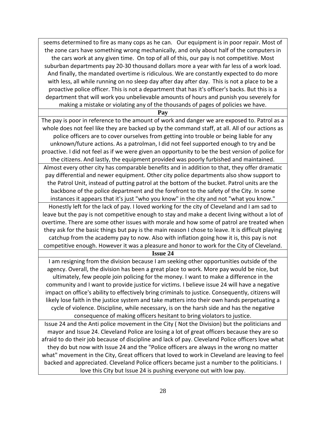seems determined to fire as many cops as he can. Our equipment is in poor repair. Most of the zone cars have something wrong mechanically, and only about half of the computers in the cars work at any given time. On top of all of this, our pay is not competitive. Most suburban departments pay 20-30 thousand dollars more a year with far less of a work load. And finally, the mandated overtime is ridiculous. We are constantly expected to do more with less, all while running on no sleep day after day after day. This is not a place to be a proactive police officer. This is not a department that has it's officer's backs. But this is a department that will work you unbelievable amounts of hours and punish you severely for making a mistake or violating any of the thousands of pages of policies we have.

**Pay**

The pay is poor in reference to the amount of work and danger we are exposed to. Patrol as a whole does not feel like they are backed up by the command staff, at all. All of our actions as police officers are to cover ourselves from getting into trouble or being liable for any unknown/future actions. As a patrolman, I did not feel supported enough to try and be proactive. I did not feel as if we were given an opportunity to be the best version of police for the citizens. And lastly, the equipment provided was poorly furbished and maintained. Almost every other city has comparable benefits and in addition to that, they offer dramatic pay differential and newer equipment. Other city police departments also show support to the Patrol Unit, instead of putting patrol at the bottom of the bucket. Patrol units are the backbone of the police department and the forefront to the safety of the City. In some instances it appears that it's just "who you know" in the city and not "what you know." Honestly left for the lack of pay. I loved working for the city of Cleveland and I am sad to leave but the pay is not competitive enough to stay and make a decent living without a lot of overtime. There are some other issues with morale and how some of patrol are treated when

they ask for the basic things but pay is the main reason I chose to leave. It is difficult playing catchup from the academy pay to now. Also with inflation going how it is, this pay is not competitive enough. However it was a pleasure and honor to work for the City of Cleveland.

**Issue 24**

I am resigning from the division because I am seeking other opportunities outside of the agency. Overall, the division has been a great place to work. More pay would be nice, but ultimately, few people join policing for the money. I want to make a difference in the community and I want to provide justice for victims. I believe issue 24 will have a negative impact on office's ability to effectively bring criminals to justice. Consequently, citizens will likely lose faith in the justice system and take matters into their own hands perpetuating a cycle of violence. Discipline, while necessary, is on the harsh side and has the negative consequence of making officers hesitant to bring violators to justice.

Issue 24 and the Anti police movement in the City ( Not the Division) but the politicians and mayor and Issue 24. Cleveland Police are losing a lot of great officers because they are so afraid to do their job because of discipline and lack of pay. Cleveland Police officers love what they do but now with Issue 24 and the "Police officers are always in the wrong no matter what" movement in the City, Great officers that loved to work in Cleveland are leaving to feel backed and appreciated. Cleveland Police officers became just a number to the politicians. I love this City but Issue 24 is pushing everyone out with low pay.